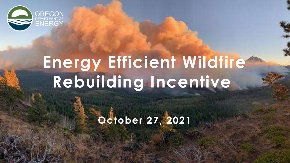

# **Energy Efficient Wildfire Rebuilding Incentive**

**October 27, 2021**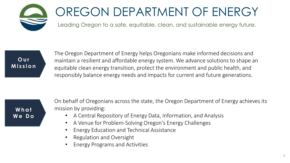

## OREGON DEPARTMENT OF ENERGY

Leading Oregon to a safe, equitable, clean, and sustainable energy future.



The Oregon Department of Energy helps Oregonians make informed decisions and maintain a resilient and affordable energy system. We advance solutions to shape an equitable clean energy transition, protect the environment and public health, and responsibly balance energy needs and impacts for current and future generations.

**What We Do** On behalf of Oregonians across the state, the Oregon Department of Energy achieves its mission by providing:

- A Central Repository of Energy Data, Information, and Analysis
- A Venue for Problem-Solving Oregon's Energy Challenges
- Energy Education and Technical Assistance
- Regulation and Oversight
- Energy Programs and Activities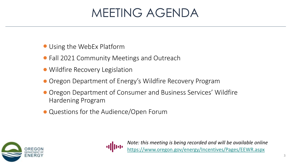#### MEETING AGENDA

- Using the WebEx Platform
- Fall 2021 Community Meetings and Outreach
- Wildfire Recovery Legislation
- **Oregon Department of Energy's Wildfire Recovery Program**
- Oregon Department of Consumer and Business Services' Wildfire Hardening Program
- Questions for the Audience/Open Forum





<https://www.oregon.gov/energy/Incentives/Pages/EEWR.aspx> *Note: this meeting is being recorded and will be available online*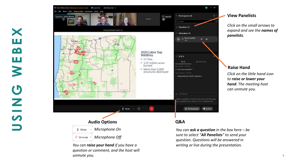

*You can raise your hand if you have a question or comment, and the host will unmute you.*

**USING WEBEX**

X

ш

 $\mathbf{\Omega}$ 

ш

 $\geq$ 

 $\mathbf G$ 

 $\frac{z}{s}$ 

*You can ask a question in the box here – be sure to select "All Panelists" to send your question. Questions will be answered in writing or live during the presentation.*

*Click on the small arrows to expand and see the names of panelists .*

#### **Raise Hand**

**View Panelists**

*Click on the little hand icon to raise or lower your hand. The meeting host can unmute you.*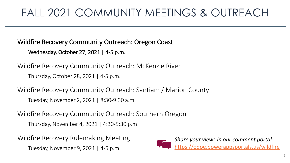#### FALL 2021 COMMUNITY MEETINGS & OUTREACH

Wildfire Recovery Community Outreach: Oregon Coast Wednesday, October 27, 2021 | 4-5 p.m.

Wildfire Recovery Community Outreach: McKenzie River Thursday, October 28, 2021 | 4-5 p.m.

Wildfire Recovery Community Outreach: Santiam / Marion County Tuesday, November 2, 2021 | 8:30-9:30 a.m.

Wildfire Recovery Community Outreach: Southern Oregon Thursday, November 4, 2021 | 4:30-5:30 p.m.

Wildfire Recovery Rulemaking Meeting Tuesday, November 9, 2021 | 4-5 p.m.

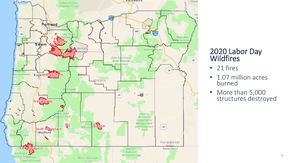

#### 2020 Labor Day Wildfires

- 21 fires
- 1.07 million acres burned
- More than 5,000 structures destroyed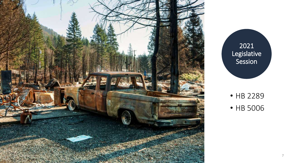

2021 Legislative Session

• HB 2289 • HB 5006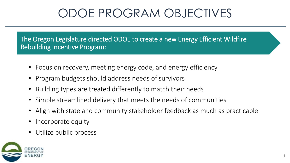#### ODOE PROGRAM OBJECTIVES

The Oregon Legislature directed ODOE to create a new Energy Efficient Wildfire Rebuilding Incentive Program:

- Focus on recovery, meeting energy code, and energy efficiency
- Program budgets should address needs of survivors
- Building types are treated differently to match their needs
- Simple streamlined delivery that meets the needs of communities
- Align with state and community stakeholder feedback as much as practicable
- Incorporate equity
- Utilize public process

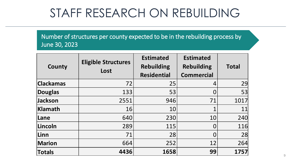#### STAFF RESEARCH ON REBUILDING

Number of structures per county expected to be in the rebuilding process by June 30, 2023

| County           | <b>Eligible Structures</b><br>Lost | <b>Estimated</b><br><b>Rebuilding</b><br><b>Residential</b> | <b>Estimated</b><br><b>Rebuilding</b><br><b>Commercial</b> | <b>Total</b> |
|------------------|------------------------------------|-------------------------------------------------------------|------------------------------------------------------------|--------------|
| <b>Clackamas</b> | 72                                 | 25                                                          | 4                                                          | 29           |
| <b>Douglas</b>   | 133                                | 53                                                          |                                                            | 53           |
| Jackson          | 2551                               | 946                                                         | 71                                                         | 1017         |
| <b>Klamath</b>   | 16                                 | 10                                                          |                                                            | 11           |
| Lane             | 640                                | 230                                                         | 10                                                         | 240          |
| Lincoln          | 289                                | 115                                                         |                                                            | 116          |
| Linn             | 71                                 | 28                                                          |                                                            | 28           |
| <b>Marion</b>    | 664                                | 252                                                         | 12                                                         | 264          |
| <b>Totals</b>    | 4436                               | 1658                                                        | 99                                                         | 1757         |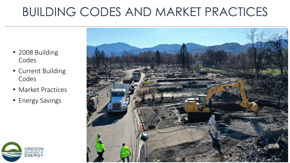#### BUILDING CODES AND MARKET PRACTICES

- 2008 Building Codes
- Current Building Codes
- Market Practices
- Energy Savings



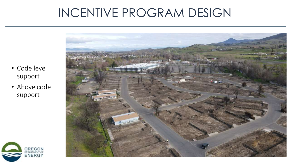#### INCENTIVE PROGRAM DESIGN



- Code level support
- Above code support

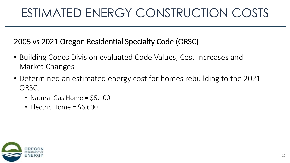#### ESTIMATED ENERGY CONSTRUCTION COSTS

2005 vs 2021 Oregon Residential Specialty Code (ORSC)

- Building Codes Division evaluated Code Values, Cost Increases and Market Changes
- Determined an estimated energy cost for homes rebuilding to the 2021 ORSC:
	- Natural Gas Home  $=$  \$5,100
	- Electric Home =  $$6,600$

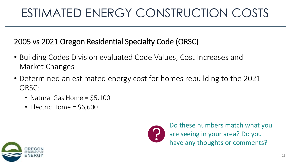### ESTIMATED ENERGY CONSTRUCTION COSTS

2005 vs 2021 Oregon Residential Specialty Code (ORSC)

- Building Codes Division evaluated Code Values, Cost Increases and Market Changes
- Determined an estimated energy cost for homes rebuilding to the 2021 ORSC:
	- Natural Gas Home  $=$  \$5,100
	- Electric Home =  $$6,600$



Do these numbers match what you are seeing in your area? Do you have any thoughts or comments?

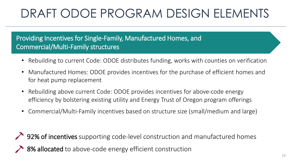### DRAFT ODOE PROGRAM DESIGN ELEMENTS

Providing Incentives for Single-Family, Manufactured Homes, and Commercial/Multi-Family structures

- Rebuilding to current Code: ODOE distributes funding, works with counties on verification
- Manufactured Homes: ODOE provides incentives for the purchase of efficient homes and for heat pump replacement
- Rebuilding above current Code: ODOE provides incentives for above-code energy efficiency by bolstering existing utility and Energy Trust of Oregon program offerings
- Commercial/Multi-Family incentives based on structure size (small/medium and large)
- $\rightarrow$  92% of incentives supporting code-level construction and manufactured homes 8% allocated to above-code energy efficient construction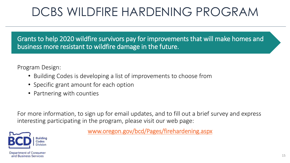#### DCBS WILDFIRE HARDENING PROGRAM

Grants to help 2020 wildfire survivors pay for improvements that will make homes and business more resistant to wildfire damage in the future.

Program Design:

- Building Codes is developing a list of improvements to choose from
- Specific grant amount for each option
- Partnering with counties

For more information, to sign up for email updates, and to fill out a brief survey and express interesting participating in the program, please visit our web page:



[www.oregon.gov/bcd/Pages/firehardening.aspx](https://www.oregon.gov/bcd/Pages/firehardening.aspx)

**Department of Consumer** and Business Services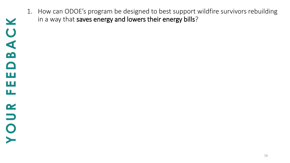- $\blacktriangleright$ **YOUR FEEDBACK** $\bigcup$  $\overline{\mathbf{B}}$  $\Box$ ш ш щ  $\alpha$ O
- 1. How can ODOE's program be designed to best support wildfire survivors rebuilding in a way that saves energy and lowers their energy bills?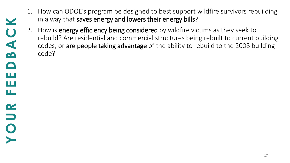- 1. How can ODOE's program be designed to best support wildfire survivors rebuilding in a way that saves energy and lowers their energy bills?
- 2. How is energy efficiency being considered by wildfire victims as they seek to rebuild? Are residential and commercial structures being rebuilt to current building codes, or are people taking advantage of the ability to rebuild to the 2008 building code?

u\_

 $\mathbf{\alpha}$ 

 $\bullet$ 

ш

ш

 $\bigcup$ 

m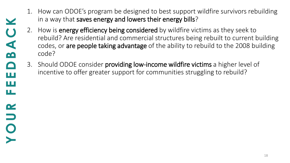- 1. How can ODOE's program be designed to best support wildfire survivors rebuilding in a way that saves energy and lowers their energy bills?
- 2. How is **energy efficiency being considered** by wildfire victims as they seek to rebuild? Are residential and commercial structures being rebuilt to current building codes, or are people taking advantage of the ability to rebuild to the 2008 building code?
- 3. Should ODOE consider **providing low-income wildfire victims** a higher level of incentive to offer greater support for communities struggling to rebuild?

ш

u\_

 $\mathbf{\alpha}$ 

 $\Box$ 

 $\bullet$ 

ш

 $\bigcup$ 

m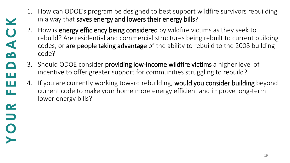- 1. How can ODOE's program be designed to best support wildfire survivors rebuilding in a way that saves energy and lowers their energy bills?
- 2. How is energy efficiency being considered by wildfire victims as they seek to rebuild? Are residential and commercial structures being rebuilt to current building codes, or are people taking advantage of the ability to rebuild to the 2008 building code?
- 3. Should ODOE consider providing low-income wildfire victims a higher level of incentive to offer greater support for communities struggling to rebuild?

Ш

щ

 $\alpha$ 

 $\Box$ 

 $\bullet$ 

ш

Q

B

 $\Box$ 

4. If you are currently working toward rebuilding, would you consider building beyond current code to make your home more energy efficient and improve long-term lower energy bills?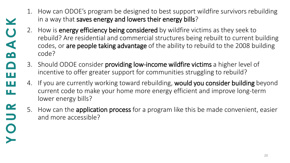- 1. How can ODOE's program be designed to best support wildfire survivors rebuilding in a way that saves energy and lowers their energy bills?
- 2. How is energy efficiency being considered by wildfire victims as they seek to rebuild? Are residential and commercial structures being rebuilt to current building codes, or are people taking advantage of the ability to rebuild to the 2008 building code?
- 3. Should ODOE consider providing low-income wildfire victims a higher level of incentive to offer greater support for communities struggling to rebuild?

Ш

ш

 $\alpha$ 

 $\bullet$ 

Ш

C

 $\mathbf{\Omega}$ 

- 4. If you are currently working toward rebuilding, would you consider building beyond current code to make your home more energy efficient and improve long-term lower energy bills?
- 5. How can the **application process** for a program like this be made convenient, easier and more accessible?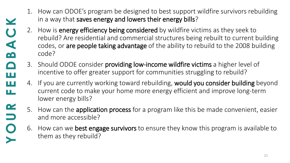- 1. How can ODOE's program be designed to best support wildfire survivors rebuilding in a way that saves energy and lowers their energy bills?
- 2. How is energy efficiency being considered by wildfire victims as they seek to rebuild? Are residential and commercial structures being rebuilt to current building codes, or are people taking advantage of the ability to rebuild to the 2008 building code?
- 3. Should ODOE consider providing low-income wildfire victims a higher level of incentive to offer greater support for communities struggling to rebuild?

Ш

ш

 $\alpha$ 

 $\Box$ 

Ш

S

 $\mathbf{\Omega}$ 

- 4. If you are currently working toward rebuilding, would you consider building beyond current code to make your home more energy efficient and improve long-term lower energy bills?
	- 5. How can the **application process** for a program like this be made convenient, easier and more accessible?
		- 6. How can we **best engage survivors** to ensure they know this program is available to them as they rebuild?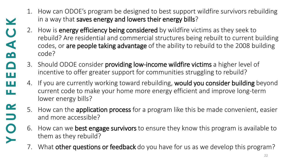- 1. How can ODOE's program be designed to best support wildfire survivors rebuilding in a way that saves energy and lowers their energy bills?
- 2. How is energy efficiency being considered by wildfire victims as they seek to rebuild? Are residential and commercial structures being rebuilt to current building codes, or are people taking advantage of the ability to rebuild to the 2008 building code?
- 3. Should ODOE consider providing low-income wildfire victims a higher level of incentive to offer greater support for communities struggling to rebuild?

Ш

ш

 $\alpha$ 

 $\Box$ 

Ш

C

M

- 4. If you are currently working toward rebuilding, would you consider building beyond current code to make your home more energy efficient and improve long-term lower energy bills?
	- 5. How can the **application process** for a program like this be made convenient, easier and more accessible?
		- 6. How can we **best engage survivors** to ensure they know this program is available to them as they rebuild?
		- 7. What other questions or feedback do you have for us as we develop this program?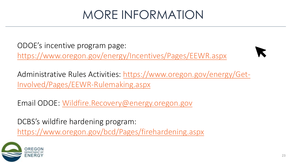#### MORE INFORMATION

ODOE's incentive program page: <https://www.oregon.gov/energy/Incentives/Pages/EEWR.aspx>



[Administrative Rules Activities: https://www.oregon.gov/energy/Get-](https://www.oregon.gov/energy/Get-Involved/Pages/EEWR-Rulemaking.aspx)Involved/Pages/EEWR-Rulemaking.aspx

Email ODOE: [Wildfire.Recovery@energy.oregon.gov](mailto:Wildfire.Recovery@energy.oregon.gov)

DCBS's wildfire hardening program:

<https://www.oregon.gov/bcd/Pages/firehardening.aspx>

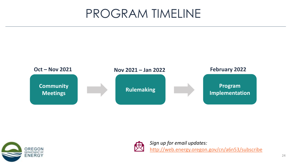#### PROGRAM TIMELINE







*Sign up for email updates:* <http://web.energy.oregon.gov/cn/a6n53/subscribe>